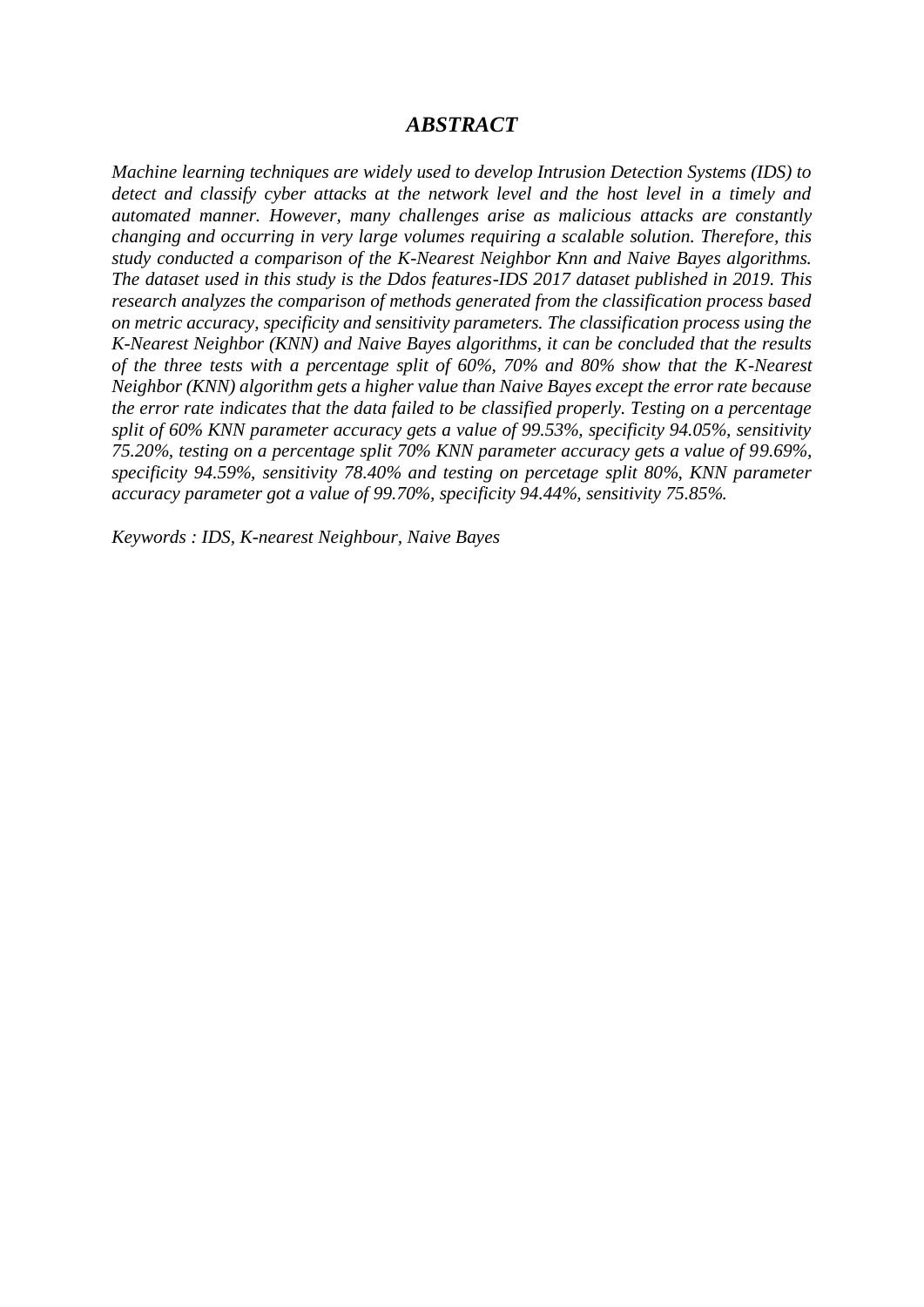## *ABSTRACT*

*Machine learning techniques are widely used to develop Intrusion Detection Systems (IDS) to detect and classify cyber attacks at the network level and the host level in a timely and automated manner. However, many challenges arise as malicious attacks are constantly changing and occurring in very large volumes requiring a scalable solution. Therefore, this study conducted a comparison of the K-Nearest Neighbor Knn and Naive Bayes algorithms. The dataset used in this study is the Ddos features-IDS 2017 dataset published in 2019. This research analyzes the comparison of methods generated from the classification process based on metric accuracy, specificity and sensitivity parameters. The classification process using the K-Nearest Neighbor (KNN) and Naive Bayes algorithms, it can be concluded that the results of the three tests with a percentage split of 60%, 70% and 80% show that the K-Nearest Neighbor (KNN) algorithm gets a higher value than Naive Bayes except the error rate because the error rate indicates that the data failed to be classified properly. Testing on a percentage split of 60% KNN parameter accuracy gets a value of 99.53%, specificity 94.05%, sensitivity 75.20%, testing on a percentage split 70% KNN parameter accuracy gets a value of 99.69%, specificity 94.59%, sensitivity 78.40% and testing on percetage split 80%, KNN parameter accuracy parameter got a value of 99.70%, specificity 94.44%, sensitivity 75.85%.*

*Keywords : IDS, K-nearest Neighbour, Naive Bayes*